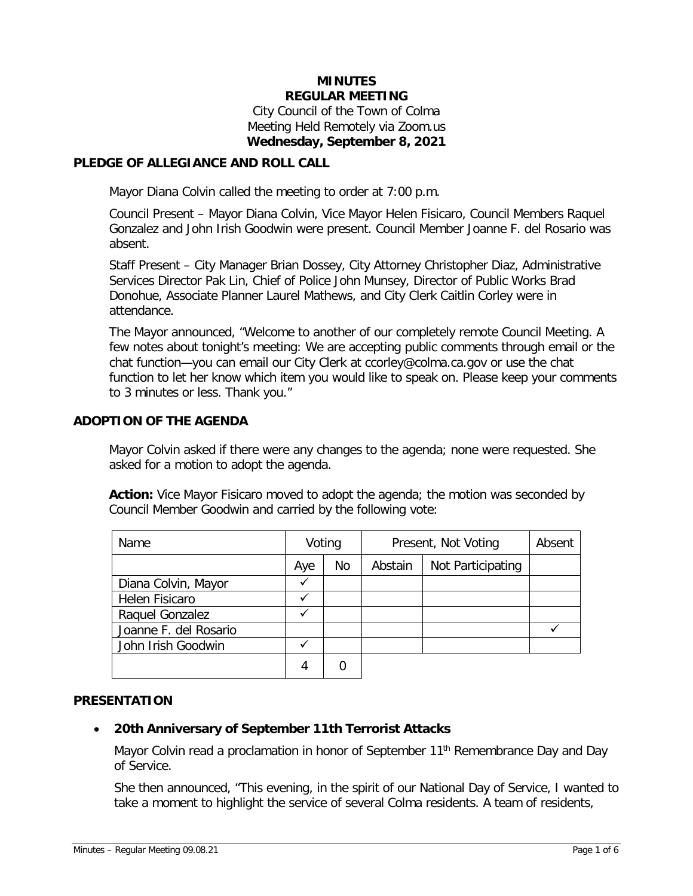### **MINUTES REGULAR MEETING** City Council of the Town of Colma Meeting Held Remotely via Zoom.us **Wednesday, September 8, 2021**

#### **PLEDGE OF ALLEGIANCE AND ROLL CALL**

Mayor Diana Colvin called the meeting to order at 7:00 p.m.

Council Present – Mayor Diana Colvin, Vice Mayor Helen Fisicaro, Council Members Raquel Gonzalez and John Irish Goodwin were present. Council Member Joanne F. del Rosario was absent.

Staff Present – City Manager Brian Dossey, City Attorney Christopher Diaz, Administrative Services Director Pak Lin, Chief of Police John Munsey, Director of Public Works Brad Donohue, Associate Planner Laurel Mathews, and City Clerk Caitlin Corley were in attendance.

The Mayor announced, "Welcome to another of our completely remote Council Meeting. A few notes about tonight's meeting: We are accepting public comments through email or the chat function—you can email our City Clerk at ccorley@colma.ca.gov or use the chat function to let her know which item you would like to speak on. Please keep your comments to 3 minutes or less. Thank you."

#### **ADOPTION OF THE AGENDA**

Mayor Colvin asked if there were any changes to the agenda; none were requested. She asked for a motion to adopt the agenda.

**Action:** Vice Mayor Fisicaro moved to adopt the agenda; the motion was seconded by Council Member Goodwin and carried by the following vote:

| Name                  | Voting |    | Present, Not Voting |                   | Absent |
|-----------------------|--------|----|---------------------|-------------------|--------|
|                       | Aye    | No | Abstain             | Not Participating |        |
| Diana Colvin, Mayor   |        |    |                     |                   |        |
| Helen Fisicaro        |        |    |                     |                   |        |
| Raquel Gonzalez       |        |    |                     |                   |        |
| Joanne F. del Rosario |        |    |                     |                   |        |
| John Irish Goodwin    |        |    |                     |                   |        |
|                       |        |    |                     |                   |        |

### **PRESENTATION**

# • **20th Anniversary of September 11th Terrorist Attacks**

Mayor Colvin read a proclamation in honor of September 11<sup>th</sup> Remembrance Day and Day of Service.

She then announced, "This evening, in the spirit of our National Day of Service, I wanted to take a moment to highlight the service of several Colma residents. A team of residents,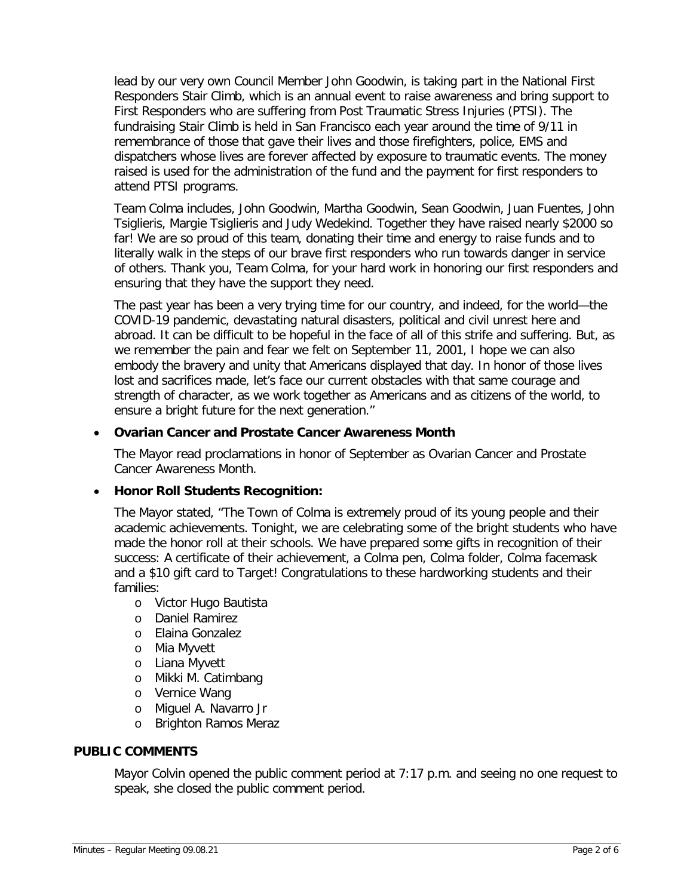lead by our very own Council Member John Goodwin, is taking part in the National First Responders Stair Climb, which is an annual event to raise awareness and bring support to First Responders who are suffering from Post Traumatic Stress Injuries (PTSI). The fundraising Stair Climb is held in San Francisco each year around the time of 9/11 in remembrance of those that gave their lives and those firefighters, police, EMS and dispatchers whose lives are forever affected by exposure to traumatic events. The money raised is used for the administration of the fund and the payment for first responders to attend PTSI programs.

Team Colma includes, John Goodwin, Martha Goodwin, Sean Goodwin, Juan Fuentes, John Tsiglieris, Margie Tsiglieris and Judy Wedekind. Together they have raised nearly \$2000 so far! We are so proud of this team, donating their time and energy to raise funds and to literally walk in the steps of our brave first responders who run towards danger in service of others. Thank you, Team Colma, for your hard work in honoring our first responders and ensuring that they have the support they need.

The past year has been a very trying time for our country, and indeed, for the world—the COVID-19 pandemic, devastating natural disasters, political and civil unrest here and abroad. It can be difficult to be hopeful in the face of all of this strife and suffering. But, as we remember the pain and fear we felt on September 11, 2001, I hope we can also embody the bravery and unity that Americans displayed that day. In honor of those lives lost and sacrifices made, let's face our current obstacles with that same courage and strength of character, as we work together as Americans and as citizens of the world, to ensure a bright future for the next generation."

# • **Ovarian Cancer and Prostate Cancer Awareness Month**

The Mayor read proclamations in honor of September as Ovarian Cancer and Prostate Cancer Awareness Month.

# • **Honor Roll Students Recognition:**

The Mayor stated, "The Town of Colma is extremely proud of its young people and their academic achievements. Tonight, we are celebrating some of the bright students who have made the honor roll at their schools. We have prepared some gifts in recognition of their success: A certificate of their achievement, a Colma pen, Colma folder, Colma facemask and a \$10 gift card to Target! Congratulations to these hardworking students and their families:

- o Victor Hugo Bautista
- o Daniel Ramirez
- o Elaina Gonzalez
- o Mia Myvett
- o Liana Myvett
- o Mikki M. Catimbang
- o Vernice Wang
- o Miguel A. Navarro Jr
- o Brighton Ramos Meraz

# **PUBLIC COMMENTS**

Mayor Colvin opened the public comment period at 7:17 p.m. and seeing no one request to speak, she closed the public comment period.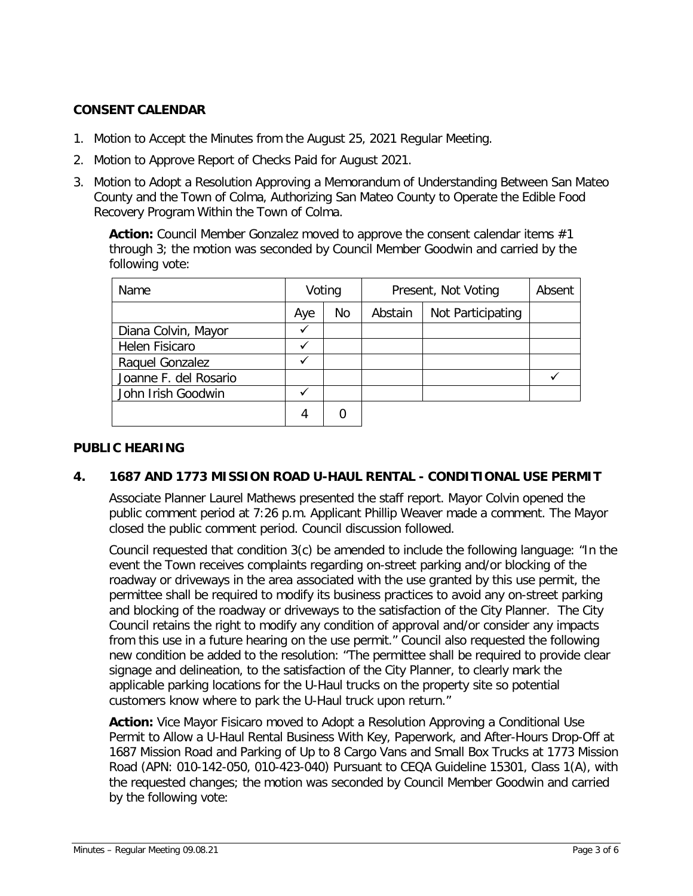# **CONSENT CALENDAR**

- 1. Motion to Accept the Minutes from the August 25, 2021 Regular Meeting.
- 2. Motion to Approve Report of Checks Paid for August 2021.
- 3. Motion to Adopt a Resolution Approving a Memorandum of Understanding Between San Mateo County and the Town of Colma, Authorizing San Mateo County to Operate the Edible Food Recovery Program Within the Town of Colma.

**Action:** Council Member Gonzalez moved to approve the consent calendar items #1 through 3; the motion was seconded by Council Member Goodwin and carried by the following vote:

| Name                  | Voting |    | Present, Not Voting |                   | Absent |
|-----------------------|--------|----|---------------------|-------------------|--------|
|                       | Aye    | No | Abstain             | Not Participating |        |
| Diana Colvin, Mayor   |        |    |                     |                   |        |
| Helen Fisicaro        |        |    |                     |                   |        |
| Raquel Gonzalez       |        |    |                     |                   |        |
| Joanne F. del Rosario |        |    |                     |                   |        |
| John Irish Goodwin    |        |    |                     |                   |        |
|                       | 4      | 0  |                     |                   |        |

# **PUBLIC HEARING**

# **4. 1687 AND 1773 MISSION ROAD U-HAUL RENTAL - CONDITIONAL USE PERMIT**

Associate Planner Laurel Mathews presented the staff report. Mayor Colvin opened the public comment period at 7:26 p.m. Applicant Phillip Weaver made a comment. The Mayor closed the public comment period. Council discussion followed.

Council requested that condition 3(c) be amended to include the following language: "In the event the Town receives complaints regarding on-street parking and/or blocking of the roadway or driveways in the area associated with the use granted by this use permit, the permittee shall be required to modify its business practices to avoid any on-street parking and blocking of the roadway or driveways to the satisfaction of the City Planner. The City Council retains the right to modify any condition of approval and/or consider any impacts from this use in a future hearing on the use permit." Council also requested the following new condition be added to the resolution: "The permittee shall be required to provide clear signage and delineation, to the satisfaction of the City Planner, to clearly mark the applicable parking locations for the U-Haul trucks on the property site so potential customers know where to park the U-Haul truck upon return."

**Action:** Vice Mayor Fisicaro moved to Adopt a Resolution Approving a Conditional Use Permit to Allow a U-Haul Rental Business With Key, Paperwork, and After-Hours Drop-Off at 1687 Mission Road and Parking of Up to 8 Cargo Vans and Small Box Trucks at 1773 Mission Road (APN: 010-142-050, 010-423-040) Pursuant to CEQA Guideline 15301, Class 1(A), with the requested changes; the motion was seconded by Council Member Goodwin and carried by the following vote: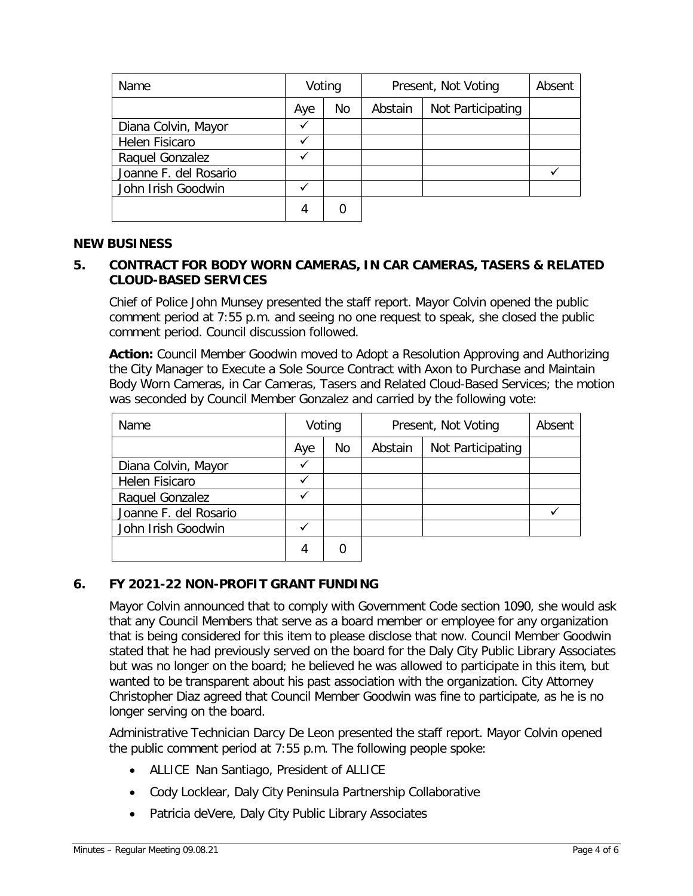| Name                  | Voting |    | Present, Not Voting |                   | Absent |
|-----------------------|--------|----|---------------------|-------------------|--------|
|                       | Aye    | No | Abstain             | Not Participating |        |
| Diana Colvin, Mayor   |        |    |                     |                   |        |
| <b>Helen Fisicaro</b> |        |    |                     |                   |        |
| Raquel Gonzalez       |        |    |                     |                   |        |
| Joanne F. del Rosario |        |    |                     |                   |        |
| John Irish Goodwin    |        |    |                     |                   |        |
|                       | 4      | O  |                     |                   |        |

### **NEW BUSINESS**

# **5. CONTRACT FOR BODY WORN CAMERAS, IN CAR CAMERAS, TASERS & RELATED CLOUD-BASED SERVICES**

Chief of Police John Munsey presented the staff report. Mayor Colvin opened the public comment period at 7:55 p.m. and seeing no one request to speak, she closed the public comment period. Council discussion followed.

**Action:** Council Member Goodwin moved to Adopt a Resolution Approving and Authorizing the City Manager to Execute a Sole Source Contract with Axon to Purchase and Maintain Body Worn Cameras, in Car Cameras, Tasers and Related Cloud-Based Services; the motion was seconded by Council Member Gonzalez and carried by the following vote:

| Name                  | Voting |    | Present, Not Voting |                   | Absent |
|-----------------------|--------|----|---------------------|-------------------|--------|
|                       | Aye    | No | Abstain             | Not Participating |        |
| Diana Colvin, Mayor   |        |    |                     |                   |        |
| Helen Fisicaro        |        |    |                     |                   |        |
| Raquel Gonzalez       |        |    |                     |                   |        |
| Joanne F. del Rosario |        |    |                     |                   |        |
| John Irish Goodwin    |        |    |                     |                   |        |
|                       | 4      |    |                     |                   |        |

# **6. FY 2021-22 NON-PROFIT GRANT FUNDING**

Mayor Colvin announced that to comply with Government Code section 1090, she would ask that any Council Members that serve as a board member or employee for any organization that is being considered for this item to please disclose that now. Council Member Goodwin stated that he had previously served on the board for the Daly City Public Library Associates but was no longer on the board; he believed he was allowed to participate in this item, but wanted to be transparent about his past association with the organization. City Attorney Christopher Diaz agreed that Council Member Goodwin was fine to participate, as he is no longer serving on the board.

Administrative Technician Darcy De Leon presented the staff report. Mayor Colvin opened the public comment period at 7:55 p.m. The following people spoke:

- ALLICE Nan Santiago, President of ALLICE
- Cody Locklear, Daly City Peninsula Partnership Collaborative
- Patricia deVere, Daly City Public Library Associates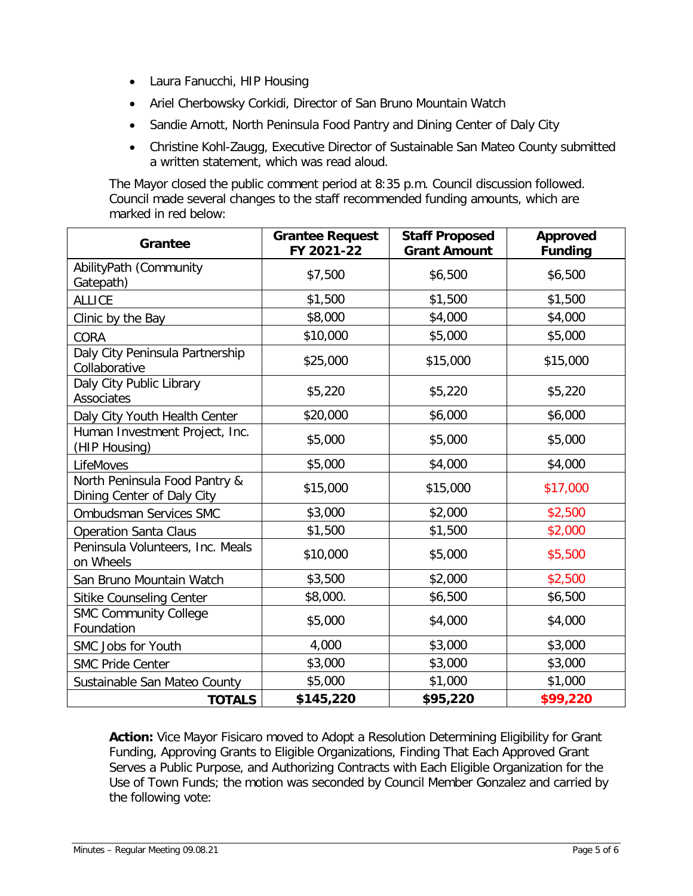- Laura Fanucchi, HIP Housing
- Ariel Cherbowsky Corkidi, Director of San Bruno Mountain Watch
- Sandie Arnott, North Peninsula Food Pantry and Dining Center of Daly City
- Christine Kohl-Zaugg, Executive Director of Sustainable San Mateo County submitted a written statement, which was read aloud.

The Mayor closed the public comment period at 8:35 p.m. Council discussion followed. Council made several changes to the staff recommended funding amounts, which are marked in red below:

| Grantee                                                     | <b>Grantee Request</b><br>FY 2021-22 | <b>Staff Proposed</b><br><b>Grant Amount</b> | Approved<br><b>Funding</b> |  |
|-------------------------------------------------------------|--------------------------------------|----------------------------------------------|----------------------------|--|
| AbilityPath (Community<br>Gatepath)                         | \$7,500                              | \$6,500                                      | \$6,500                    |  |
| <b>ALLICE</b>                                               | \$1,500                              | \$1,500                                      | \$1,500                    |  |
| Clinic by the Bay                                           | \$8,000                              | \$4,000                                      | \$4,000                    |  |
| <b>CORA</b>                                                 | \$10,000                             | \$5,000                                      | \$5,000                    |  |
| Daly City Peninsula Partnership<br>Collaborative            | \$25,000                             | \$15,000                                     | \$15,000                   |  |
| Daly City Public Library<br>Associates                      | \$5,220                              | \$5,220                                      | \$5,220                    |  |
| Daly City Youth Health Center                               | \$20,000                             | \$6,000                                      | \$6,000                    |  |
| Human Investment Project, Inc.<br>(HIP Housing)             | \$5,000                              | \$5,000                                      | \$5,000                    |  |
| LifeMoves                                                   | \$5,000                              | \$4,000                                      | \$4,000                    |  |
| North Peninsula Food Pantry &<br>Dining Center of Daly City | \$15,000                             | \$15,000                                     | \$17,000                   |  |
| Ombudsman Services SMC                                      | \$3,000                              | \$2,000                                      | \$2,500                    |  |
| <b>Operation Santa Claus</b>                                | \$1,500                              | \$1,500                                      | \$2,000                    |  |
| Peninsula Volunteers, Inc. Meals<br>on Wheels               | \$10,000                             | \$5,000                                      | \$5,500                    |  |
| San Bruno Mountain Watch                                    | \$3,500                              | \$2,000                                      | \$2,500                    |  |
| Sitike Counseling Center                                    | \$8,000.                             | \$6,500                                      | \$6,500                    |  |
| <b>SMC Community College</b><br>Foundation                  | \$5,000                              | \$4,000                                      | \$4,000                    |  |
| SMC Jobs for Youth                                          | 4,000                                | \$3,000                                      | \$3,000                    |  |
| <b>SMC Pride Center</b>                                     | \$3,000                              | \$3,000                                      | \$3,000                    |  |
| Sustainable San Mateo County                                | \$5,000                              | \$1,000                                      | \$1,000                    |  |
| <b>TOTALS</b>                                               | \$145,220                            | \$95,220                                     | \$99,220                   |  |

**Action:** Vice Mayor Fisicaro moved to Adopt a Resolution Determining Eligibility for Grant Funding, Approving Grants to Eligible Organizations, Finding That Each Approved Grant Serves a Public Purpose, and Authorizing Contracts with Each Eligible Organization for the Use of Town Funds; the motion was seconded by Council Member Gonzalez and carried by the following vote: